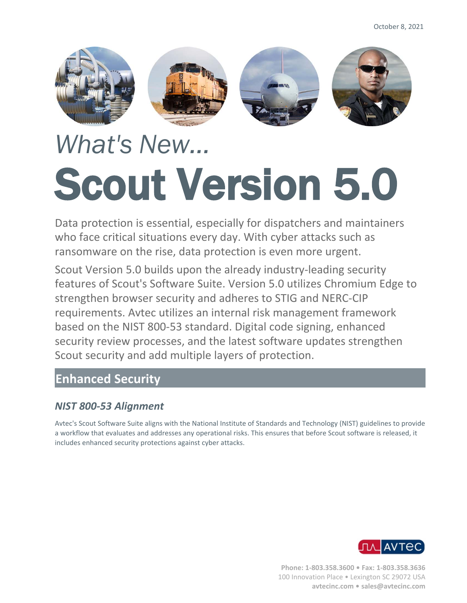October 8, 2021



# *What's New...* Scout Version 5.0

Data protection is essential, especially for dispatchers and maintainers who face critical situations every day. With cyber attacks such as ransomware on the rise, data protection is even more urgent.

Scout Version 5.0 builds upon the already industry-leading security features of Scout's Software Suite. Version 5.0 utilizes Chromium Edge to strengthen browser security and adheres to STIG and NERC-CIP requirements. Avtec utilizes an internal risk management framework based on the NIST 800-53 standard. Digital code signing, enhanced security review processes, and the latest software updates strengthen Scout security and add multiple layers of protection.

## **Enhanced Security**

#### *NIST 800-53 Alignment*

Avtec's Scout Software Suite aligns with the National Institute of Standards and Technology (NIST) guidelines to provide a workflow that evaluates and addresses any operational risks. This ensures that before Scout software is released, it includes enhanced security protections against cyber attacks.



**Phone: 1-803.358.3600 • Fax: 1-803.358.3636** 100 Innovation Place • Lexington SC 29072 USA **avtecinc.com • sales@avtecinc.com**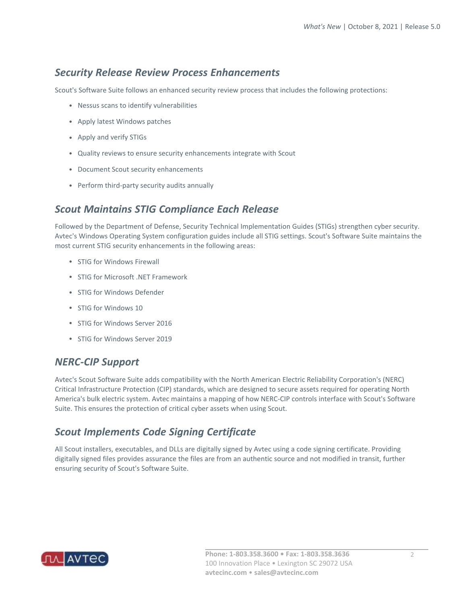#### *Security Release Review Process Enhancements*

Scout's Software Suite follows an enhanced security review process that includes the following protections:

- Nessus scans to identify vulnerabilities
- Apply latest Windows patches
- Apply and verify STIGs
- Quality reviews to ensure security enhancements integrate with Scout
- Document Scout security enhancements
- Perform third-party security audits annually

#### *Scout Maintains STIG Compliance Each Release*

Followed by the Department of Defense, Security Technical Implementation Guides (STIGs) strengthen cyber security. Avtec's Windows Operating System configuration guides include all STIG settings. Scout's Software Suite maintains the most current STIG security enhancements in the following areas:

- STIG for Windows Firewall
- STIG for Microsoft .NET Framework
- STIG for Windows Defender
- STIG for Windows 10
- STIG for Windows Server 2016
- STIG for Windows Server 2019

#### *NERC-CIP Support*

Avtec's Scout Software Suite adds compatibility with the North American Electric Reliability Corporation's (NERC) Critical Infrastructure Protection (CIP) standards, which are designed to secure assets required for operating North America's bulk electric system. Avtec maintains a mapping of how NERC-CIP controls interface with Scout's Software Suite. This ensures the protection of critical cyber assets when using Scout.

#### *Scout Implements Code Signing Certificate*

All Scout installers, executables, and DLLs are digitally signed by Avtec using a code signing certificate. Providing digitally signed files provides assurance the files are from an authentic source and not modified in transit, further ensuring security of Scout's Software Suite.

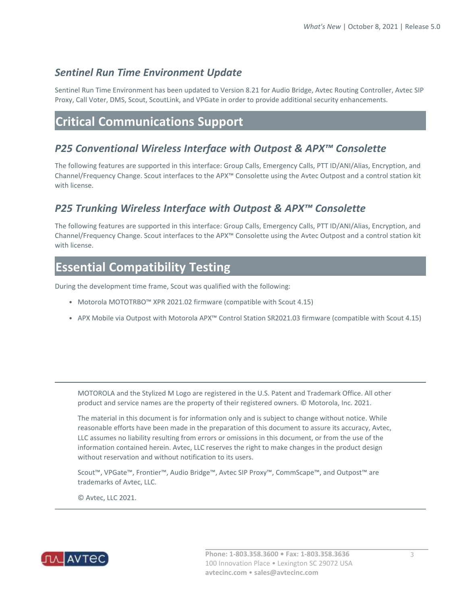#### *Sentinel Run Time Environment Update*

Sentinel Run Time Environment has been updated to Version 8.21 for Audio Bridge, Avtec Routing Controller, Avtec SIP Proxy, Call Voter, DMS, Scout, ScoutLink, and VPGate in order to provide additional security enhancements.

## **Critical Communications Support**

#### *P25 Conventional Wireless Interface with Outpost & APX™ Consolette*

The following features are supported in this interface: Group Calls, Emergency Calls, PTT ID/ANI/Alias, Encryption, and Channel/Frequency Change. Scout interfaces to the APX™ Consolette using the Avtec Outpost and a control station kit with license.

#### *P25 Trunking Wireless Interface with Outpost & APX™ Consolette*

The following features are supported in this interface: Group Calls, Emergency Calls, PTT ID/ANI/Alias, Encryption, and Channel/Frequency Change. Scout interfaces to the APX™ Consolette using the Avtec Outpost and a control station kit with license.

## **Essential Compatibility Testing**

During the development time frame, Scout was qualified with the following:

- Motorola MOTOTRBO™ XPR 2021.02 firmware (compatible with Scout 4.15)
- APX Mobile via Outpost with Motorola APX™ Control Station SR2021.03 firmware (compatible with Scout 4.15)

MOTOROLA and the Stylized M Logo are registered in the U.S. Patent and Trademark Office. All other product and service names are the property of their registered owners. © Motorola, Inc. 2021.

The material in this document is for information only and is subject to change without notice. While reasonable efforts have been made in the preparation of this document to assure its accuracy, Avtec, LLC assumes no liability resulting from errors or omissions in this document, or from the use of the information contained herein. Avtec, LLC reserves the right to make changes in the product design without reservation and without notification to its users.

Scout™, VPGate™, Frontier™, Audio Bridge™, Avtec SIP Proxy™, CommScape™, and Outpost™ are trademarks of Avtec, LLC.

© Avtec, LLC 2021.